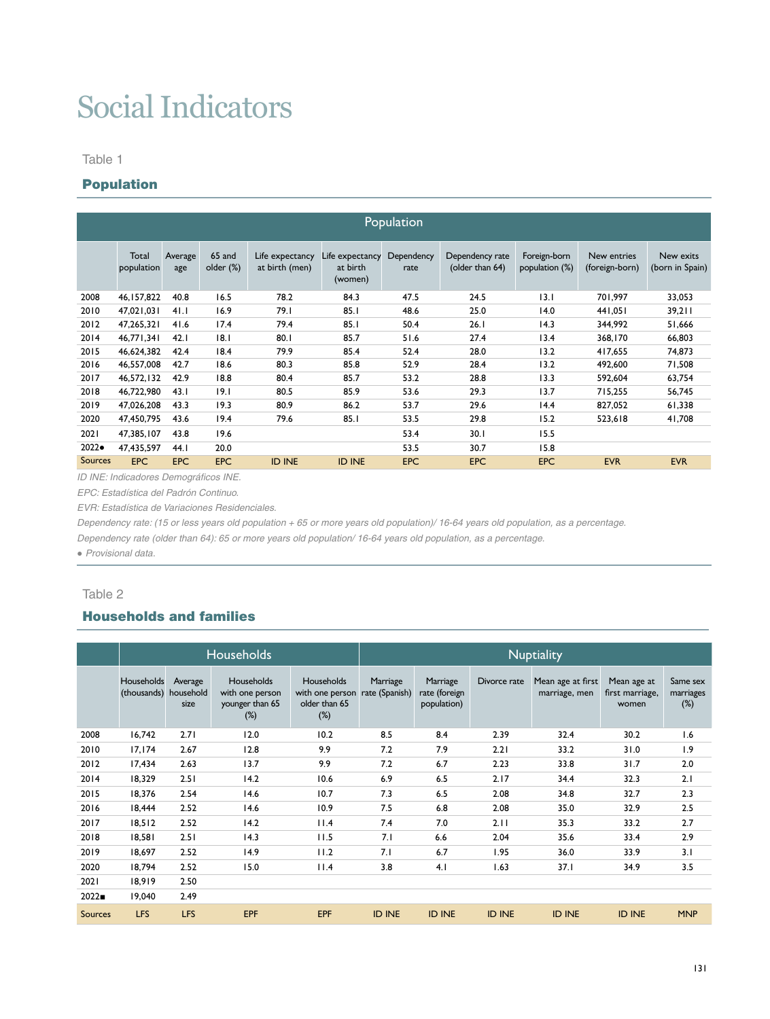# Social Indicators

Table 1

### Population

|                | Population          |                |                     |                                   |                                        |                    |                                    |                                |                               |                              |  |  |  |  |
|----------------|---------------------|----------------|---------------------|-----------------------------------|----------------------------------------|--------------------|------------------------------------|--------------------------------|-------------------------------|------------------------------|--|--|--|--|
|                | Total<br>population | Average<br>age | 65 and<br>older (%) | Life expectancy<br>at birth (men) | Life expectancy<br>at birth<br>(women) | Dependency<br>rate | Dependency rate<br>(older than 64) | Foreign-born<br>population (%) | New entries<br>(foreign-born) | New exits<br>(born in Spain) |  |  |  |  |
| 2008           | 46, 157, 822        | 40.8           | 16.5                | 78.2                              | 84.3                                   | 47.5               | 24.5                               | 3.1                            | 701,997                       | 33,053                       |  |  |  |  |
| 2010           | 47,021,031          | 41.1           | 16.9                | 79.I                              | 85.1                                   | 48.6               | 25.0                               | 14.0                           | 441,051                       | 39,211                       |  |  |  |  |
| 2012           | 47,265,321          | 41.6           | 17.4                | 79.4                              | 85.1                                   | 50.4               | 26.1                               | 14.3                           | 344,992                       | 51,666                       |  |  |  |  |
| 2014           | 46.771.341          | 42.1           | 8.1                 | 80.1                              | 85.7                                   | 51.6               | 27.4                               | 13.4                           | 368,170                       | 66,803                       |  |  |  |  |
| 2015           | 46,624,382          | 42.4           | 18.4                | 79.9                              | 85.4                                   | 52.4               | 28.0                               | 13.2                           | 417,655                       | 74,873                       |  |  |  |  |
| 2016           | 46,557,008          | 42.7           | 18.6                | 80.3                              | 85.8                                   | 52.9               | 28.4                               | 13.2                           | 492.600                       | 71,508                       |  |  |  |  |
| 2017           | 46.572.132          | 42.9           | 18.8                | 80.4                              | 85.7                                   | 53.2               | 28.8                               | 13.3                           | 592.604                       | 63,754                       |  |  |  |  |
| 2018           | 46,722,980          | 43.1           | 19.1                | 80.5                              | 85.9                                   | 53.6               | 29.3                               | 13.7                           | 715.255                       | 56,745                       |  |  |  |  |
| 2019           | 47.026.208          | 43.3           | 19.3                | 80.9                              | 86.2                                   | 53.7               | 29.6                               | 14.4                           | 827.052                       | 61,338                       |  |  |  |  |
| 2020           | 47,450,795          | 43.6           | 19.4                | 79.6                              | 85.1                                   | 53.5               | 29.8                               | 15.2                           | 523,618                       | 41,708                       |  |  |  |  |
| 2021           | 47.385.107          | 43.8           | 19.6                |                                   |                                        | 53.4               | 30.1                               | 15.5                           |                               |                              |  |  |  |  |
| 2022●          | 47,435,597          | 44.1           | 20.0                |                                   |                                        | 53.5               | 30.7                               | 15.8                           |                               |                              |  |  |  |  |
| <b>Sources</b> | <b>EPC</b>          | <b>EPC</b>     | <b>EPC</b>          | <b>ID INE</b>                     | <b>ID INE</b>                          | <b>EPC</b>         | <b>EPC</b>                         | <b>EPC</b>                     | <b>EVR</b>                    | <b>EVR</b>                   |  |  |  |  |

*ID INE: Indicadores Demográficos INE.*

*EPC: Estadística del Padrón Continuo.* 

*EVR: Estadística de Variaciones Residenciales.*

*Dependency rate: (15 or less years old population + 65 or more years old population)/ 16-64 years old population, as a percentage.*

*Dependency rate (older than 64): 65 or more years old population/ 16-64 years old population, as a percentage.*

*● Provisional data.*

#### Table 2

# Households and families

|         |                                     |                 | Households                                                 |                                                          | <b>Nuptiality</b>          |                                          |               |                                    |                                         |                                 |  |  |
|---------|-------------------------------------|-----------------|------------------------------------------------------------|----------------------------------------------------------|----------------------------|------------------------------------------|---------------|------------------------------------|-----------------------------------------|---------------------------------|--|--|
|         | Households<br>(thousands) household | Average<br>size | Households<br>with one person<br>younger than 65<br>$(\%)$ | Households<br>with one person<br>older than 65<br>$(\%)$ | Marriage<br>rate (Spanish) | Marriage<br>rate (foreign<br>population) | Divorce rate  | Mean age at first<br>marriage, men | Mean age at<br>first marriage,<br>women | Same sex<br>marriages<br>$(\%)$ |  |  |
| 2008    | 16,742                              | 2.71            | 12.0                                                       | 10.2                                                     | 8.5                        | 8.4                                      | 2.39          | 32.4                               | 30.2                                    | 1.6                             |  |  |
| 2010    | 17, 174                             | 2.67            | 12.8                                                       | 9.9                                                      | 7.2                        | 7.9                                      | 2.21          | 33.2                               | 31.0                                    | 1.9                             |  |  |
| 2012    | 17,434                              | 2.63            | 13.7                                                       | 9.9                                                      | 7.2                        | 6.7                                      | 2.23          | 33.8                               | 31.7                                    | 2.0                             |  |  |
| 2014    | 18.329                              | 2.51            | 14.2                                                       | 10.6                                                     | 6.9                        | 6.5                                      | 2.17          | 34.4                               | 32.3                                    | 2.1                             |  |  |
| 2015    | 18,376                              | 2.54            | 14.6                                                       | 10.7                                                     | 7.3                        | 6.5                                      | 2.08          | 34.8                               | 32.7                                    | 2.3                             |  |  |
| 2016    | 18,444                              | 2.52            | 14.6                                                       | 10.9                                                     | 7.5                        | 6.8                                      | 2.08          | 35.0                               | 32.9                                    | 2.5                             |  |  |
| 2017    | 18,512                              | 2.52            | 14.2                                                       | 11.4                                                     | 7.4                        | 7.0                                      | 2.11          | 35.3                               | 33.2                                    | 2.7                             |  |  |
| 2018    | 18,581                              | 2.51            | 14.3                                                       | 11.5                                                     | 7.1                        | 6.6                                      | 2.04          | 35.6                               | 33.4                                    | 2.9                             |  |  |
| 2019    | 18,697                              | 2.52            | 14.9                                                       | 11.2                                                     | 7.1                        | 6.7                                      | 1.95          | 36.0                               | 33.9                                    | 3.1                             |  |  |
| 2020    | 18.794                              | 2.52            | 15.0                                                       | 11.4                                                     | 3.8                        | 4.1                                      | 1.63          | 37.1                               | 34.9                                    | 3.5                             |  |  |
| 2021    | 18,919                              | 2.50            |                                                            |                                                          |                            |                                          |               |                                    |                                         |                                 |  |  |
| 2022    | 19.040                              | 2.49            |                                                            |                                                          |                            |                                          |               |                                    |                                         |                                 |  |  |
| Sources | <b>LFS</b>                          | <b>LFS</b>      | EPF                                                        | <b>EPF</b>                                               | <b>ID INE</b>              | <b>ID INE</b>                            | <b>ID INE</b> | <b>ID INE</b>                      | <b>ID INE</b>                           | <b>MNP</b>                      |  |  |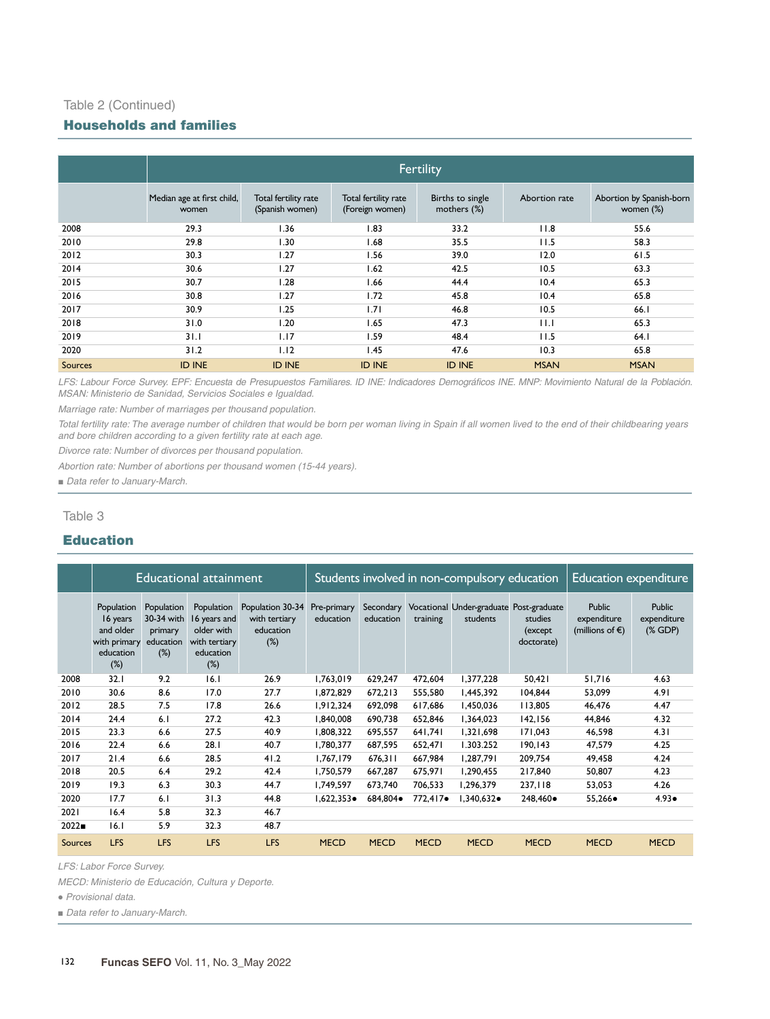## Table 2 (Continued)

#### Households and families

|                | Fertility                           |                                         |                                         |                                 |               |                                       |  |  |  |  |  |
|----------------|-------------------------------------|-----------------------------------------|-----------------------------------------|---------------------------------|---------------|---------------------------------------|--|--|--|--|--|
|                |                                     |                                         |                                         |                                 |               |                                       |  |  |  |  |  |
|                | Median age at first child,<br>women | Total fertility rate<br>(Spanish women) | Total fertility rate<br>(Foreign women) | Births to single<br>mothers (%) | Abortion rate | Abortion by Spanish-born<br>women (%) |  |  |  |  |  |
| 2008           | 29.3                                | 1.36                                    | 1.83                                    | 33.2                            | 11.8          | 55.6                                  |  |  |  |  |  |
| 2010           | 29.8                                | 1.30                                    | 1.68                                    | 35.5                            | 11.5          | 58.3                                  |  |  |  |  |  |
| 2012           | 30.3                                | 1.27                                    | 1.56                                    | 39.0                            | 12.0          | 61.5                                  |  |  |  |  |  |
| 2014           | 30.6                                | 1.27                                    | 1.62                                    | 42.5                            | 10.5          | 63.3                                  |  |  |  |  |  |
| 2015           | 30.7                                | 1.28                                    | 1.66                                    | 44.4                            | 10.4          | 65.3                                  |  |  |  |  |  |
| 2016           | 30.8                                | 1.27                                    | 1.72                                    | 45.8                            | 10.4          | 65.8                                  |  |  |  |  |  |
| 2017           | 30.9                                | 1.25                                    | 1.71                                    | 46.8                            | 10.5          | 66.I                                  |  |  |  |  |  |
| 2018           | 31.0                                | 1.20                                    | 1.65                                    | 47.3                            | $\mathsf{H}$  | 65.3                                  |  |  |  |  |  |
| 2019           | 31.1                                | 1.17                                    | 1.59                                    | 48.4                            | 11.5          | 64.1                                  |  |  |  |  |  |
| 2020           | 31.2                                | 1.12                                    | 1.45                                    | 47.6                            | 10.3          | 65.8                                  |  |  |  |  |  |
| <b>Sources</b> | <b>ID INE</b>                       | <b>ID INE</b>                           | <b>ID INE</b>                           | <b>ID INE</b>                   | <b>MSAN</b>   | <b>MSAN</b>                           |  |  |  |  |  |

*LFS: Labour Force Survey. EPF: Encuesta de Presupuestos Familiares. ID INE: Indicadores Demográficos INE. MNP: Movimiento Natural de la Población. MSAN: Ministerio de Sanidad, Servicios Sociales e Igualdad.* 

*Marriage rate: Number of marriages per thousand population.*

*Total fertility rate: The average number of children that would be born per woman living in Spain if all women lived to the end of their childbearing years and bore children according to a given fertility rate at each age.*

*Divorce rate: Number of divorces per thousand population.*

*Abortion rate: Number of abortions per thousand women (15-44 years).*

■ *Data refer to January-March.* 

Table 3

## Education

|                |                                                                            |                                                         | Educational attainment                                                           |                                                          | Students involved in non-compulsory education |                        | <b>Education expenditure</b> |                                                     |                                   |                                                           |                                           |
|----------------|----------------------------------------------------------------------------|---------------------------------------------------------|----------------------------------------------------------------------------------|----------------------------------------------------------|-----------------------------------------------|------------------------|------------------------------|-----------------------------------------------------|-----------------------------------|-----------------------------------------------------------|-------------------------------------------|
|                | Population<br>16 years<br>and older<br>with primary<br>education<br>$(\%)$ | Population<br>30-34 with<br>primary<br>education<br>(%) | Population<br>16 years and<br>older with<br>with tertiary<br>education<br>$(\%)$ | Population 30-34<br>with tertiary<br>education<br>$(\%)$ | Pre-primary<br>education                      | Secondary<br>education | training                     | Vocational Under-graduate Post-graduate<br>students | studies<br>(except)<br>doctorate) | <b>Public</b><br>expenditure<br>(millions of $\epsilon$ ) | <b>Public</b><br>expenditure<br>$(X$ GDP) |
| 2008           | 32.1                                                                       | 9.2                                                     | 16.1                                                                             | 26.9                                                     | 1,763,019                                     | 629,247                | 472.604                      | 1,377,228                                           | 50,421                            | 51,716                                                    | 4.63                                      |
| 2010           | 30.6                                                                       | 8.6                                                     | 17.0                                                                             | 27.7                                                     | 1,872,829                                     | 672.213                | 555.580                      | 1,445,392                                           | 104.844                           | 53,099                                                    | 4.91                                      |
| 2012           | 28.5                                                                       | 7.5                                                     | 17.8                                                                             | 26.6                                                     | 1,912,324                                     | 692.098                | 617,686                      | 1,450,036                                           | 113,805                           | 46,476                                                    | 4.47                                      |
| 2014           | 24.4                                                                       | 6.1                                                     | 27.2                                                                             | 42.3                                                     | 1,840,008                                     | 690.738                | 652,846                      | 1,364,023                                           | 142,156                           | 44,846                                                    | 4.32                                      |
| 2015           | 23.3                                                                       | 6.6                                                     | 27.5                                                                             | 40.9                                                     | 1,808,322                                     | 695,557                | 641,741                      | 1,321,698                                           | 171,043                           | 46,598                                                    | 4.31                                      |
| 2016           | 22.4                                                                       | 6.6                                                     | 28.1                                                                             | 40.7                                                     | 1,780,377                                     | 687,595                | 652,471                      | 1.303.252                                           | 190,143                           | 47,579                                                    | 4.25                                      |
| 2017           | 21.4                                                                       | 6.6                                                     | 28.5                                                                             | 41.2                                                     | 1,767,179                                     | 676,311                | 667,984                      | 1,287,791                                           | 209.754                           | 49,458                                                    | 4.24                                      |
| 2018           | 20.5                                                                       | 6.4                                                     | 29.2                                                                             | 42.4                                                     | 1,750,579                                     | 667,287                | 675,971                      | 1,290,455                                           | 217,840                           | 50,807                                                    | 4.23                                      |
| 2019           | 19.3                                                                       | 6.3                                                     | 30.3                                                                             | 44.7                                                     | 1,749,597                                     | 673.740                | 706,533                      | 1,296,379                                           | 237,118                           | 53,053                                                    | 4.26                                      |
| 2020           | 17.7                                                                       | 6.1                                                     | 31.3                                                                             | 44.8                                                     | $1,622,353 \bullet$                           | 684,804●               | 772,417 $\bullet$            | 1,340,632•                                          | 248,460●                          | $55,266 \bullet$                                          | $4.93 \bullet$                            |
| 2021           | 16.4                                                                       | 5.8                                                     | 32.3                                                                             | 46.7                                                     |                                               |                        |                              |                                                     |                                   |                                                           |                                           |
| 2022           | 16.1                                                                       | 5.9                                                     | 32.3                                                                             | 48.7                                                     |                                               |                        |                              |                                                     |                                   |                                                           |                                           |
| <b>Sources</b> | <b>LFS</b>                                                                 | <b>LFS</b>                                              | <b>LFS</b>                                                                       | <b>LFS</b>                                               | <b>MECD</b>                                   | <b>MECD</b>            | <b>MECD</b>                  | <b>MECD</b>                                         | <b>MECD</b>                       | <b>MECD</b>                                               | <b>MECD</b>                               |

*LFS: Labor Force Survey.* 

*MECD: Ministerio de Educación, Cultura y Deporte.*

*● Provisional data.* 

■ *Data refer to January-March.*